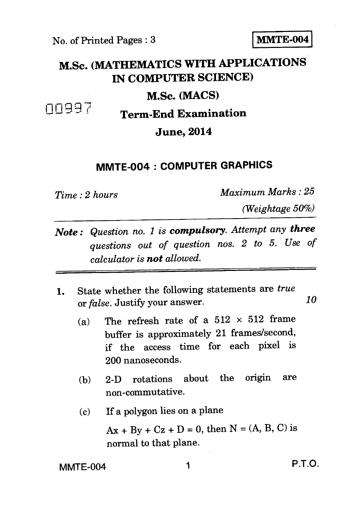No. of Printed Pages : 3 **I MMTE-004** 

## **M.Sc. (MATHEMATICS WITH APPLICATIONS IN COMPUTER SCIENCE)**

## **M.Sc. (MACS)**

**00997** Term-End Examination

## **June, 2014**

## **MMTE-004 : COMPUTER GRAPHICS**

*Time : 2 hours Maximum Marks : 25* 

*(Weightage 50%)* 

*Note : Question no. 1 is compulsory. Attempt any three questions out of question nos. 2 to 5. Use of calculator is not allowed.* 

- **1.** State whether the following statements are *true*  or *false.* Justify your answer. *10* 
	- (a) The refresh rate of a  $512 \times 512$  frame buffer is approximately 21 frames/second, if the access time for each pixel is 200 nanoseconds.
	- (b) 2-D rotations about the origin are non-commutative.
	- (c) If a polygon lies on a plane

 $Ax + By + Cz + D = 0$ , then  $N = (A, B, C)$  is normal to that plane.

MMTE-004 1 P.T.O.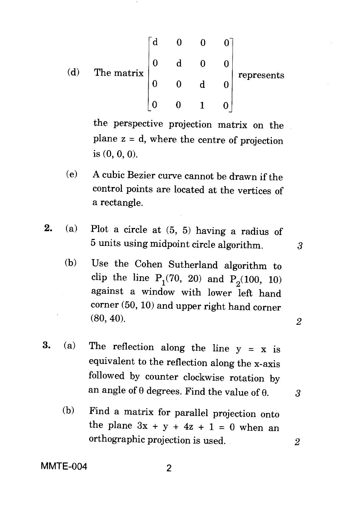(d) The matrix 
$$
\begin{bmatrix} d & 0 & 0 & 0 \ 0 & d & 0 & 0 \ 0 & 0 & d & 0 \ 0 & 0 & 1 & 0 \end{bmatrix}
$$
 represents

the perspective projection matrix on the plane  $z = d$ , where the centre of projection is (0, 0, 0).

- (e) A cubic Bezier curve cannot be drawn if the control points are located at the vertices of a rectangle.
- **2.** (a) Plot a circle at  $(5, 5)$  having a radius of 5 units using midpoint circle algorithm. 3
	- (b) Use the Cohen Sutherland algorithm to clip the line  $P_1(70, 20)$  and  $P_2(100, 10)$ against a window with lower left hand corner (50, 10) and upper right hand corner (80, 40). *2*
- 3. (a) The reflection along the line  $y = x$  is equivalent to the reflection along the x-axis followed by counter clockwise rotation by an angle of  $\theta$  degrees. Find the value of  $\theta$ . 3
	- (b) Find a matrix for parallel projection onto the plane  $3x + y + 4z + 1 = 0$  when an orthographic projection is used. *2*

**MMTE-004** 2